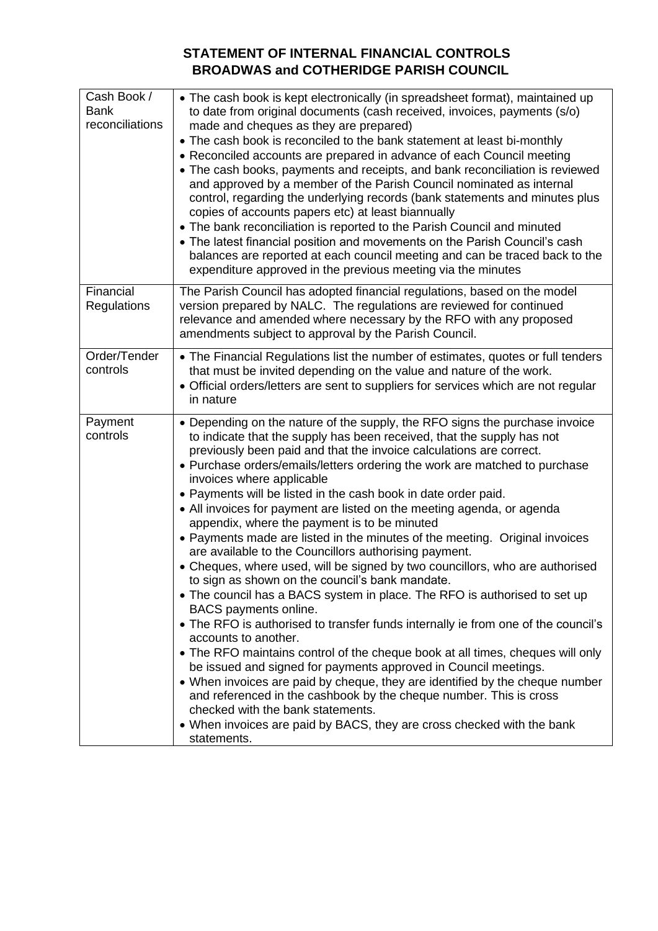## **STATEMENT OF INTERNAL FINANCIAL CONTROLS BROADWAS and COTHERIDGE PARISH COUNCIL**

| Cash Book /<br><b>Bank</b><br>reconciliations | • The cash book is kept electronically (in spreadsheet format), maintained up<br>to date from original documents (cash received, invoices, payments (s/o)<br>made and cheques as they are prepared)<br>• The cash book is reconciled to the bank statement at least bi-monthly<br>• Reconciled accounts are prepared in advance of each Council meeting<br>• The cash books, payments and receipts, and bank reconciliation is reviewed<br>and approved by a member of the Parish Council nominated as internal<br>control, regarding the underlying records (bank statements and minutes plus<br>copies of accounts papers etc) at least biannually<br>• The bank reconciliation is reported to the Parish Council and minuted<br>• The latest financial position and movements on the Parish Council's cash<br>balances are reported at each council meeting and can be traced back to the<br>expenditure approved in the previous meeting via the minutes                                                                                                                                                                                                                                                                                                                                                                                                                                                                                                               |
|-----------------------------------------------|----------------------------------------------------------------------------------------------------------------------------------------------------------------------------------------------------------------------------------------------------------------------------------------------------------------------------------------------------------------------------------------------------------------------------------------------------------------------------------------------------------------------------------------------------------------------------------------------------------------------------------------------------------------------------------------------------------------------------------------------------------------------------------------------------------------------------------------------------------------------------------------------------------------------------------------------------------------------------------------------------------------------------------------------------------------------------------------------------------------------------------------------------------------------------------------------------------------------------------------------------------------------------------------------------------------------------------------------------------------------------------------------------------------------------------------------------------------------------|
| Financial<br>Regulations                      | The Parish Council has adopted financial regulations, based on the model<br>version prepared by NALC. The regulations are reviewed for continued<br>relevance and amended where necessary by the RFO with any proposed<br>amendments subject to approval by the Parish Council.                                                                                                                                                                                                                                                                                                                                                                                                                                                                                                                                                                                                                                                                                                                                                                                                                                                                                                                                                                                                                                                                                                                                                                                            |
| Order/Tender<br>controls                      | • The Financial Regulations list the number of estimates, quotes or full tenders<br>that must be invited depending on the value and nature of the work.<br>• Official orders/letters are sent to suppliers for services which are not regular<br>in nature                                                                                                                                                                                                                                                                                                                                                                                                                                                                                                                                                                                                                                                                                                                                                                                                                                                                                                                                                                                                                                                                                                                                                                                                                 |
| Payment<br>controls                           | • Depending on the nature of the supply, the RFO signs the purchase invoice<br>to indicate that the supply has been received, that the supply has not<br>previously been paid and that the invoice calculations are correct.<br>• Purchase orders/emails/letters ordering the work are matched to purchase<br>invoices where applicable<br>• Payments will be listed in the cash book in date order paid.<br>• All invoices for payment are listed on the meeting agenda, or agenda<br>appendix, where the payment is to be minuted<br>• Payments made are listed in the minutes of the meeting. Original invoices<br>are available to the Councillors authorising payment.<br>• Cheques, where used, will be signed by two councillors, who are authorised<br>to sign as shown on the council's bank mandate.<br>• The council has a BACS system in place. The RFO is authorised to set up<br>BACS payments online.<br>• The RFO is authorised to transfer funds internally ie from one of the council's<br>accounts to another.<br>• The RFO maintains control of the cheque book at all times, cheques will only<br>be issued and signed for payments approved in Council meetings.<br>• When invoices are paid by cheque, they are identified by the cheque number<br>and referenced in the cashbook by the cheque number. This is cross<br>checked with the bank statements.<br>• When invoices are paid by BACS, they are cross checked with the bank<br>statements. |